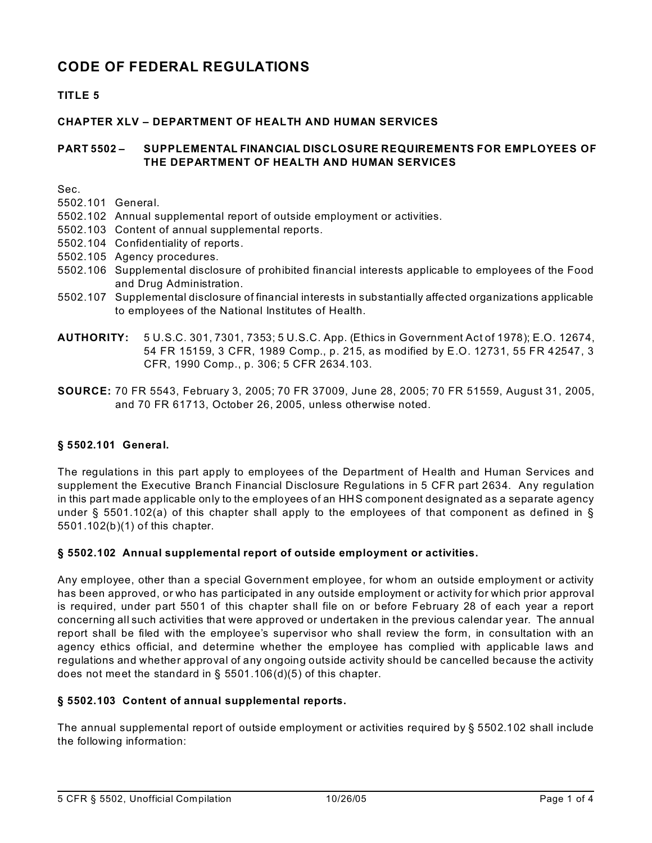# **CODE OF FEDERAL REGULATIONS**

# **TITLE 5**

### **CHAPTER XLV – DEPARTMENT OF HEALTH AND HUMAN SERVICES**

#### **PART 5502 – SUPPLEMENTAL FINANCIAL DISCLOSURE REQUIREMENTS FOR EMPLOYEES OF THE DEPARTMENT OF HEALTH AND HUMAN SERVICES**

Sec.

- 5502.101 General.
- 5502.102 Annual supplemental report of outside employment or activities.
- 5502.103 Content of annual supplemental reports.
- 5502.104 Confidentiality of reports.
- 5502.105 Agency procedures.
- 5502.106 Supplemental disclosure of prohibited financial interests applicable to employees of the Food and Drug Administration.
- 5502.107 Supplemental disclosure of financial interests in substantially affected organizations applicable to employees of the National Institutes of Health.
- **AUTHORITY:** 5 U.S.C. 301, 7301, 7353; 5 U.S.C. App. (Ethics in Government Act of 1978); E.O. 12674, 54 FR 15159, 3 CFR, 1989 Comp., p. 215, as modified by E.O. 12731, 55 FR 42547, 3 CFR, 1990 Comp., p. 306; 5 CFR 2634.103.
- **SOURCE:** 70 FR 5543, February 3, 2005; 70 FR 37009, June 28, 2005; 70 FR 51559, August 31, 2005, and 70 FR 61713, October 26, 2005, unless otherwise noted.

## **§ 5502.101 General.**

The regulations in this part apply to employees of the Department of Health and Human Services and supplement the Executive Branch Financial Disclosure Regulations in 5 CFR part 2634. Any regulation in this part made applicable only to the employees of an HHS component designated as a separate agency under § 5501.102(a) of this chapter shall apply to the employees of that component as defined in § 5501.102(b)(1) of this chapter.

#### **§ 5502.102 Annual supplemental report of outside employment or activities.**

Any employee, other than a special Government employee, for whom an outside employment or activity has been approved, or who has participated in any outside employment or activity for which prior approval is required, under part 5501 of this chapter shall file on or before February 28 of each year a report concerning all such activities that were approved or undertaken in the previous calendar year. The annual report shall be filed with the employee's supervisor who shall review the form, in consultation with an agency ethics official, and determine whether the employee has complied with applicable laws and regulations and whether approval of any ongoing outside activity should be cancelled because the activity does not meet the standard in § 5501.106(d)(5) of this chapter.

#### **§ 5502.103 Content of annual supplemental reports.**

The annual supplemental report of outside employment or activities required by § 5502.102 shall include the following information: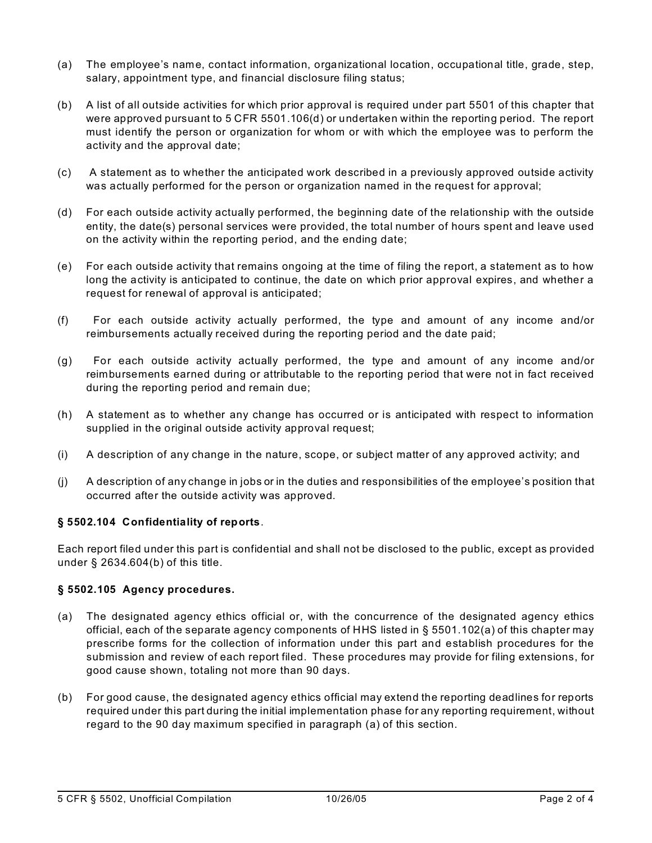- (a) The employee's name, contact information, organizational location, occupational title, grade, step, salary, appointment type, and financial disclosure filing status;
- (b) A list of all outside activities for which prior approval is required under part 5501 of this chapter that were approved pursuant to 5 CFR 5501.106(d) or undertaken within the reporting period. The report must identify the person or organization for whom or with which the employee was to perform the activity and the approval date;
- (c) A statement as to whether the anticipated work described in a previously approved outside activity was actually performed for the person or organization named in the request for approval;
- (d) For each outside activity actually performed, the beginning date of the relationship with the outside entity, the date(s) personal services were provided, the total number of hours spent and leave used on the activity within the reporting period, and the ending date;
- (e) For each outside activity that remains ongoing at the time of filing the report, a statement as to how long the activity is anticipated to continue, the date on which prior approval expires, and whether a request for renewal of approval is anticipated;
- (f) For each outside activity actually performed, the type and amount of any income and/or reimbursements actually received during the reporting period and the date paid;
- (g) For each outside activity actually performed, the type and amount of any income and/or reimbursements earned during or attributable to the reporting period that were not in fact received during the reporting period and remain due;
- (h) A statement as to whether any change has occurred or is anticipated with respect to information supplied in the original outside activity approval request;
- (i) A description of any change in the nature, scope, or subject matter of any approved activity; and
- (j) A description of any change in jobs or in the duties and responsibilities of the employee's position that occurred after the outside activity was approved.

#### **§ 5502.104 Confidentiality of reports**.

Each report filed under this part is confidential and shall not be disclosed to the public, except as provided under § 2634.604(b) of this title.

#### **§ 5502.105 Agency procedures.**

- (a) The designated agency ethics official or, with the concurrence of the designated agency ethics official, each of the separate agency components of HHS listed in § 5501.102(a) of this chapter may prescribe forms for the collection of information under this part and establish procedures for the submission and review of each report filed. These procedures may provide for filing extensions, for good cause shown, totaling not more than 90 days.
- (b) For good cause, the designated agency ethics official may extend the reporting deadlines for reports required under this part during the initial implementation phase for any reporting requirement, without regard to the 90 day maximum specified in paragraph (a) of this section.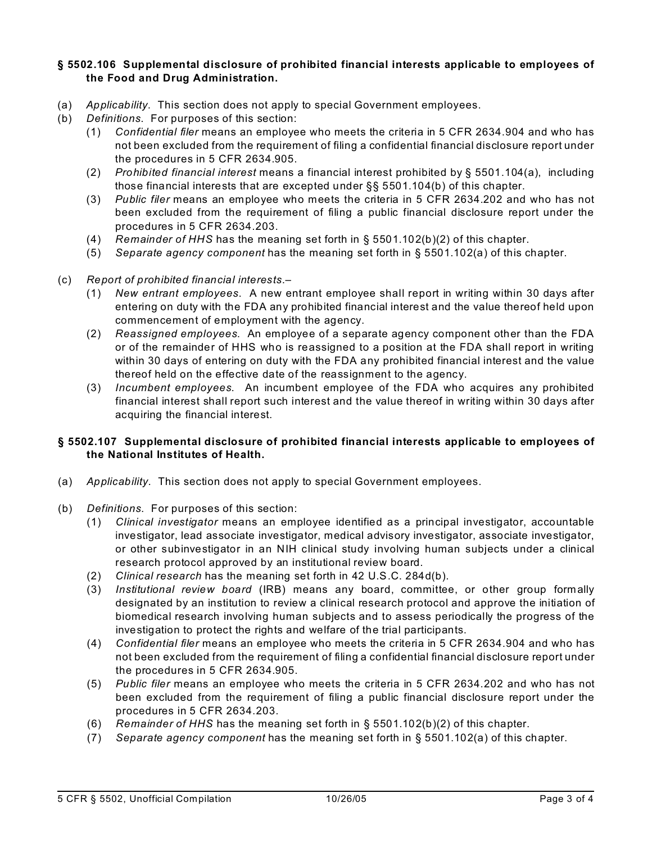#### **§ 5502.106 Supplemental disclosure of prohibited financial interests applicable to employees of the Food and Drug Administration.**

- (a) *Applicability*. This section does not apply to special Government employees.
- (b) *Definitions*. For purposes of this section:
	- (1) *Confidential filer* means an employee who meets the criteria in 5 CFR 2634.904 and who has not been excluded from the requirement of filing a confidential financial disclosure report under the procedures in 5 CFR 2634.905.
	- (2) *Prohibited financial interest* means a financial interest prohibited by § 5501.104(a), including those financial interests that are excepted under §§ 5501.104(b) of this chapter.
	- (3) *Public filer* means an employee who meets the criteria in 5 CFR 2634.202 and who has not been excluded from the requirement of filing a public financial disclosure report under the procedures in 5 CFR 2634.203.
	- (4) *Remainder of HHS* has the meaning set forth in § 5501.102(b)(2) of this chapter.
	- (5) *Separate agency component* has the meaning set forth in § 5501.102(a) of this chapter.
- (c) *Report of prohibited financial interests*.–
	- (1) *New entrant employees*. A new entrant employee shall report in writing within 30 days after entering on duty with the FDA any prohibited financial interest and the value thereof held upon commencement of employment with the agency.
	- (2) *Reassigned employees*. An employee of a separate agency component other than the FDA or of the remainder of HHS who is reassigned to a position at the FDA shall report in writing within 30 days of entering on duty with the FDA any prohibited financial interest and the value thereof held on the effective date of the reassignment to the agency.
	- (3) *Incumbent employees*. An incumbent employee of the FDA who acquires any prohibited financial interest shall report such interest and the value thereof in writing within 30 days after acquiring the financial interest.

#### **§ 5502.107 Supplemental disclosure of prohibited financial interests applicable to employees of the National Institutes of Health.**

- (a) *Applicability*. This section does not apply to special Government employees.
- (b) *Definitions*. For purposes of this section:
	- (1) *Clinical investigator* means an employee identified as a principal investigator, accountable investigator, lead associate investigator, medical advisory investigator, associate investigator, or other subinvestigator in an NIH clinical study involving human subjects under a clinical research protocol approved by an institutional review board.
	- (2) *Clinical research* has the meaning set forth in 42 U.S.C. 284d(b).
	- (3) *Institutional review board* (IRB) means any board, committee, or other group formally designated by an institution to review a clinical research protocol and approve the initiation of biomedical research involving human subjects and to assess periodically the progress of the investigation to protect the rights and welfare of the trial participants.
	- (4) *Confidential filer* means an employee who meets the criteria in 5 CFR 2634.904 and who has not been excluded from the requirement of filing a confidential financial disclosure report under the procedures in 5 CFR 2634.905.
	- (5) *Public filer* means an employee who meets the criteria in 5 CFR 2634.202 and who has not been excluded from the requirement of filing a public financial disclosure report under the procedures in 5 CFR 2634.203.
	- (6) *Remainder of HHS* has the meaning set forth in § 5501.102(b)(2) of this chapter.
	- (7) *Separate agency component* has the meaning set forth in § 5501.102(a) of this chapter.